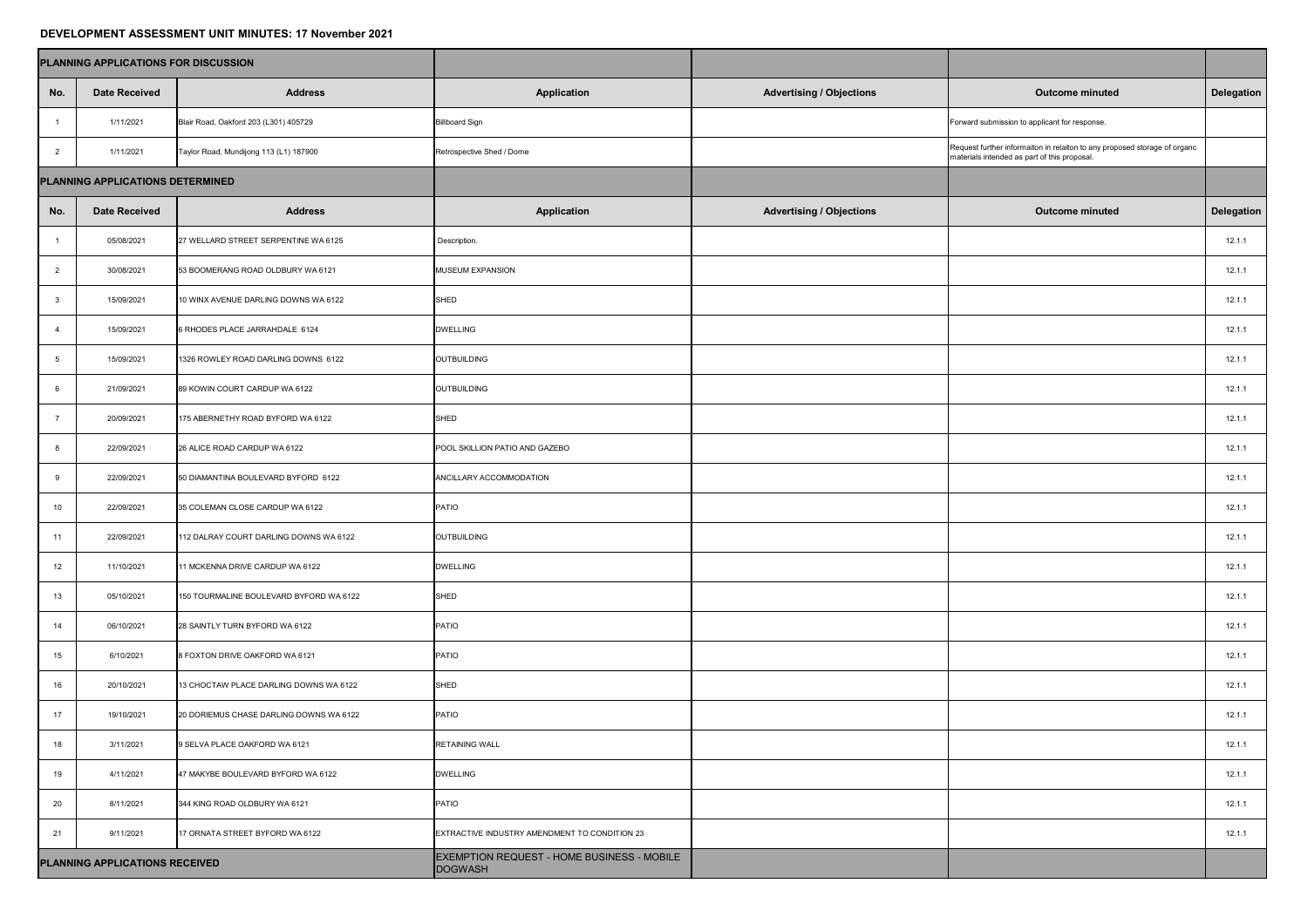## **DEVELOPMENT ASSESSMENT UNIT MINUTES: 17 November 2021**

| PLANNING APPLICATIONS FOR DISCUSSION |                                  |                                         |                                                       |                                 |                                                                                                                           |                   |
|--------------------------------------|----------------------------------|-----------------------------------------|-------------------------------------------------------|---------------------------------|---------------------------------------------------------------------------------------------------------------------------|-------------------|
| No.                                  | <b>Date Received</b>             | <b>Address</b>                          | <b>Application</b>                                    | <b>Advertising / Objections</b> | <b>Outcome minuted</b>                                                                                                    | <b>Delegation</b> |
|                                      | 1/11/2021                        | Blair Road, Oakford 203 (L301) 405729   | <b>Billboard Sign</b>                                 |                                 | Forward submission to applicant for response.                                                                             |                   |
| $\overline{2}$                       | 1/11/2021                        | Taylor Road, Mundijong 113 (L1) 187900  | Retrospective Shed / Dome                             |                                 | Request further informaiton in relaiton to any proposed storage of organc<br>materials intended as part of this proposal. |                   |
|                                      | PLANNING APPLICATIONS DETERMINED |                                         |                                                       |                                 |                                                                                                                           |                   |
| No.                                  | <b>Date Received</b>             | <b>Address</b>                          | <b>Application</b>                                    | <b>Advertising / Objections</b> | <b>Outcome minuted</b>                                                                                                    | <b>Delegation</b> |
|                                      | 05/08/2021                       | 27 WELLARD STREET SERPENTINE WA 6125    | Description.                                          |                                 |                                                                                                                           | 12.1.1            |
| $\overline{2}$                       | 30/08/2021                       | 53 BOOMERANG ROAD OLDBURY WA 6121       | <b>MUSEUM EXPANSION</b>                               |                                 |                                                                                                                           | 12.1.1            |
| $\mathbf{3}$                         | 15/09/2021                       | 10 WINX AVENUE DARLING DOWNS WA 6122    | SHED                                                  |                                 |                                                                                                                           | 12.1.1            |
|                                      | 15/09/2021                       | 6 RHODES PLACE JARRAHDALE 6124          | <b>DWELLING</b>                                       |                                 |                                                                                                                           | 12.1.1            |
|                                      | 15/09/2021                       | 1326 ROWLEY ROAD DARLING DOWNS 6122     | OUTBUILDING                                           |                                 |                                                                                                                           | 12.1.1            |
|                                      | 21/09/2021                       | 89 KOWIN COURT CARDUP WA 6122           | OUTBUILDING                                           |                                 |                                                                                                                           | 12.1.1            |
|                                      | 20/09/2021                       | 175 ABERNETHY ROAD BYFORD WA 6122       | SHED                                                  |                                 |                                                                                                                           | 12.1.1            |
|                                      | 22/09/2021                       | 26 ALICE ROAD CARDUP WA 6122            | POOL SKILLION PATIO AND GAZEBO                        |                                 |                                                                                                                           | 12.1.1            |
|                                      | 22/09/2021                       | 50 DIAMANTINA BOULEVARD BYFORD 6122     | ANCILLARY ACCOMMODATION                               |                                 |                                                                                                                           | 12.1.1            |
| 10 <sub>1</sub>                      | 22/09/2021                       | 35 COLEMAN CLOSE CARDUP WA 6122         | <b>PATIO</b>                                          |                                 |                                                                                                                           | 12.1.1            |
| 11                                   | 22/09/2021                       | 112 DALRAY COURT DARLING DOWNS WA 6122  | OUTBUILDING                                           |                                 |                                                                                                                           | 12.1.1            |
| 12 <sup>7</sup>                      | 11/10/2021                       | 11 MCKENNA DRIVE CARDUP WA 6122         | <b>DWELLING</b>                                       |                                 |                                                                                                                           | 12.1.1            |
| 13                                   | 05/10/2021                       | 150 TOURMALINE BOULEVARD BYFORD WA 6122 | SHED                                                  |                                 |                                                                                                                           | 12.1.1            |
| 14                                   | 06/10/2021                       | 28 SAINTLY TURN BYFORD WA 6122          | PATIO                                                 |                                 |                                                                                                                           | 12.1.1            |
| 15                                   | 6/10/2021                        | 8 FOXTON DRIVE OAKFORD WA 6121          | PATIO                                                 |                                 |                                                                                                                           | 12.1.1            |
| 16                                   | 20/10/2021                       | 13 CHOCTAW PLACE DARLING DOWNS WA 6122  | SHED                                                  |                                 |                                                                                                                           | 12.1.1            |
| 17                                   | 19/10/2021                       | 20 DORIEMUS CHASE DARLING DOWNS WA 6122 | <b>PATIO</b>                                          |                                 |                                                                                                                           | 12.1.1            |
| 18                                   | 3/11/2021                        | 9 SELVA PLACE OAKFORD WA 6121           | <b>RETAINING WALL</b>                                 |                                 |                                                                                                                           | 12.1.1            |
| 19                                   | 4/11/2021                        | 47 MAKYBE BOULEVARD BYFORD WA 6122      | <b>DWELLING</b>                                       |                                 |                                                                                                                           | 12.1.1            |
| 20                                   | 8/11/2021                        | 344 KING ROAD OLDBURY WA 6121           | PATIO                                                 |                                 |                                                                                                                           | 12.1.1            |
| 21                                   | 9/11/2021                        | 17 ORNATA STREET BYFORD WA 6122         | EXTRACTIVE INDUSTRY AMENDMENT TO CONDITION 23         |                                 |                                                                                                                           | 12.1.1            |
| PLANNING APPLICATIONS RECEIVED       |                                  |                                         | EXEMPTION REQUEST - HOME BUSINESS - MOBILE<br>DOGWASH |                                 |                                                                                                                           |                   |

| l      |  |
|--------|--|
|        |  |
|        |  |
|        |  |
| I<br>l |  |
|        |  |
|        |  |
|        |  |
|        |  |
|        |  |
|        |  |
|        |  |
|        |  |
|        |  |
|        |  |
|        |  |
|        |  |
|        |  |
|        |  |
|        |  |
|        |  |
|        |  |
|        |  |
|        |  |
|        |  |
|        |  |
|        |  |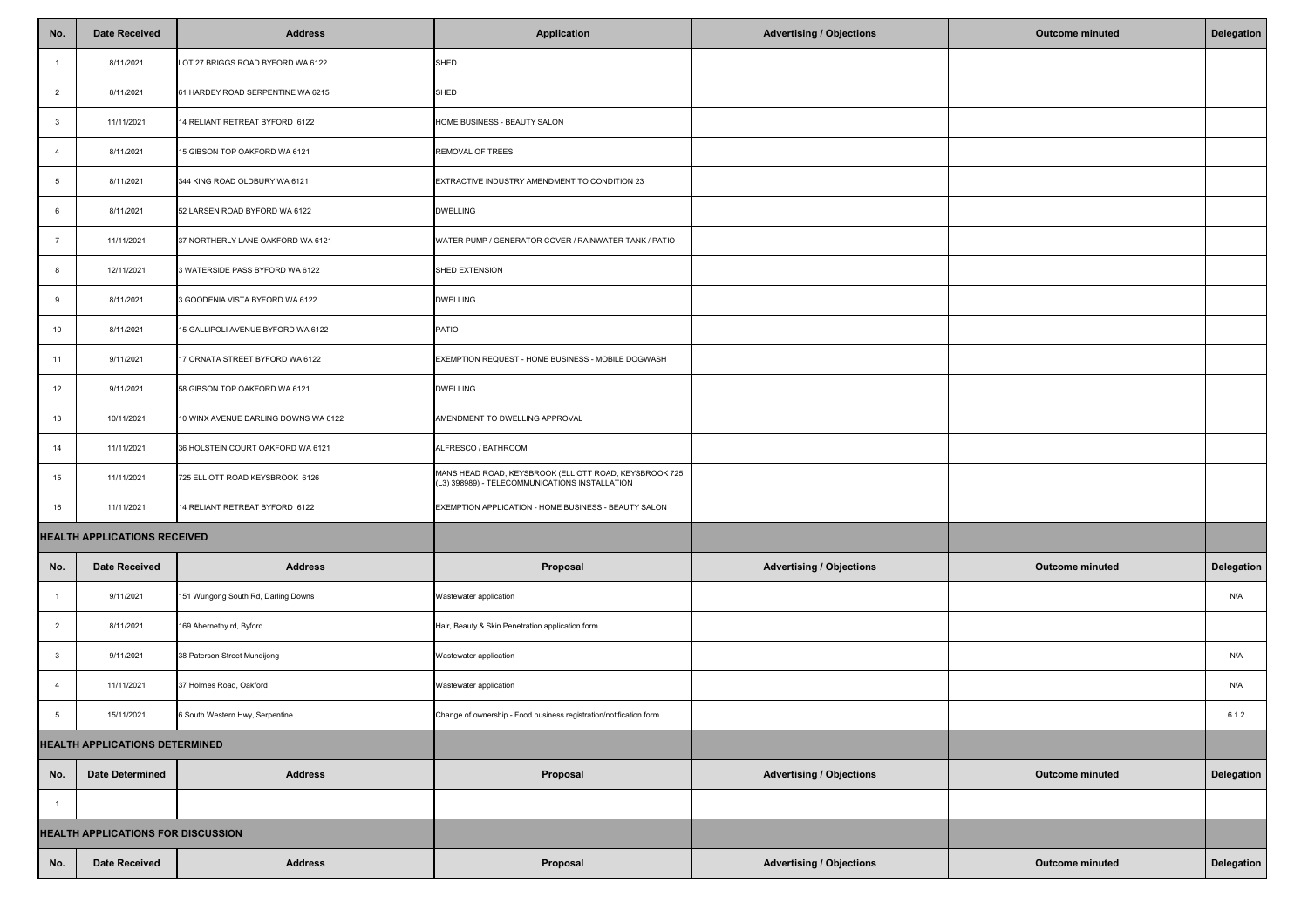| No.                                       | <b>Date Received</b>   | <b>Address</b>                       | <b>Application</b>                                                                                       | <b>Advertising / Objections</b> | <b>Outcome minuted</b> | Delegation        |
|-------------------------------------------|------------------------|--------------------------------------|----------------------------------------------------------------------------------------------------------|---------------------------------|------------------------|-------------------|
|                                           | 8/11/2021              | LOT 27 BRIGGS ROAD BYFORD WA 6122    | SHED                                                                                                     |                                 |                        |                   |
|                                           | 8/11/2021              | 61 HARDEY ROAD SERPENTINE WA 6215    | SHED                                                                                                     |                                 |                        |                   |
|                                           | 11/11/2021             | 14 RELIANT RETREAT BYFORD 6122       | HOME BUSINESS - BEAUTY SALON                                                                             |                                 |                        |                   |
|                                           | 8/11/2021              | 15 GIBSON TOP OAKFORD WA 6121        | <b>REMOVAL OF TREES</b>                                                                                  |                                 |                        |                   |
|                                           | 8/11/2021              | 344 KING ROAD OLDBURY WA 6121        | EXTRACTIVE INDUSTRY AMENDMENT TO CONDITION 23                                                            |                                 |                        |                   |
|                                           | 8/11/2021              | 52 LARSEN ROAD BYFORD WA 6122        | <b>DWELLING</b>                                                                                          |                                 |                        |                   |
|                                           | 11/11/2021             | 37 NORTHERLY LANE OAKFORD WA 6121    | WATER PUMP / GENERATOR COVER / RAINWATER TANK / PATIO                                                    |                                 |                        |                   |
|                                           | 12/11/2021             | 3 WATERSIDE PASS BYFORD WA 6122      | SHED EXTENSION                                                                                           |                                 |                        |                   |
|                                           | 8/11/2021              | 3 GOODENIA VISTA BYFORD WA 6122      | <b>DWELLING</b>                                                                                          |                                 |                        |                   |
| 10                                        | 8/11/2021              | 15 GALLIPOLI AVENUE BYFORD WA 6122   | <b>PATIO</b>                                                                                             |                                 |                        |                   |
| 11                                        | 9/11/2021              | 17 ORNATA STREET BYFORD WA 6122      | EXEMPTION REQUEST - HOME BUSINESS - MOBILE DOGWASH                                                       |                                 |                        |                   |
| 12                                        | 9/11/2021              | 58 GIBSON TOP OAKFORD WA 6121        | <b>DWELLING</b>                                                                                          |                                 |                        |                   |
| 13                                        | 10/11/2021             | 10 WINX AVENUE DARLING DOWNS WA 6122 | AMENDMENT TO DWELLING APPROVAL                                                                           |                                 |                        |                   |
| 14                                        | 11/11/2021             | 36 HOLSTEIN COURT OAKFORD WA 6121    | ALFRESCO / BATHROOM                                                                                      |                                 |                        |                   |
| 15                                        | 11/11/2021             | 725 ELLIOTT ROAD KEYSBROOK 6126      | MANS HEAD ROAD, KEYSBROOK (ELLIOTT ROAD, KEYSBROOK 725<br>(L3) 398989) - TELECOMMUNICATIONS INSTALLATION |                                 |                        |                   |
| 16                                        | 11/11/2021             | 14 RELIANT RETREAT BYFORD 6122       | EXEMPTION APPLICATION - HOME BUSINESS - BEAUTY SALON                                                     |                                 |                        |                   |
| <b>HEALTH APPLICATIONS RECEIVED</b>       |                        |                                      |                                                                                                          |                                 |                        |                   |
| No.                                       | Date Received          | <b>Address</b>                       | Proposal                                                                                                 | <b>Advertising / Objections</b> | <b>Outcome minuted</b> | <b>Delegation</b> |
|                                           | 9/11/2021              | 151 Wungong South Rd, Darling Downs  | Wastewater application                                                                                   |                                 |                        | N/A               |
| $\overline{2}$                            | 8/11/2021              | 169 Abernethy rd, Byford             | Hair, Beauty & Skin Penetration application form                                                         |                                 |                        |                   |
|                                           | 9/11/2021              | 38 Paterson Street Mundijong         | Wastewater application                                                                                   |                                 |                        | N/A               |
|                                           | 11/11/2021             | 37 Holmes Road, Oakford              | Wastewater application                                                                                   |                                 |                        | N/A               |
|                                           | 15/11/2021             | 6 South Western Hwy, Serpentine      | Change of ownership - Food business registration/notification form                                       |                                 |                        | 6.1.2             |
| <b>HEALTH APPLICATIONS DETERMINED</b>     |                        |                                      |                                                                                                          |                                 |                        |                   |
| No.                                       | <b>Date Determined</b> | <b>Address</b>                       | <b>Proposal</b>                                                                                          | <b>Advertising / Objections</b> | <b>Outcome minuted</b> | <b>Delegation</b> |
|                                           |                        |                                      |                                                                                                          |                                 |                        |                   |
| <b>HEALTH APPLICATIONS FOR DISCUSSION</b> |                        |                                      |                                                                                                          |                                 |                        |                   |
| No.                                       | <b>Date Received</b>   | <b>Address</b>                       | <b>Proposal</b>                                                                                          | <b>Advertising / Objections</b> | <b>Outcome minuted</b> | <b>Delegation</b> |

| ֡֡֡֡֡֡֡֡<br>I<br>l |  |
|--------------------|--|
|                    |  |
|                    |  |
|                    |  |
|                    |  |
|                    |  |
|                    |  |
|                    |  |
|                    |  |
|                    |  |
|                    |  |
|                    |  |
|                    |  |
|                    |  |
|                    |  |
|                    |  |
|                    |  |
|                    |  |
|                    |  |
|                    |  |
| I                  |  |
|                    |  |
|                    |  |
|                    |  |
|                    |  |
|                    |  |
|                    |  |
| I<br>Ì             |  |
|                    |  |
|                    |  |
|                    |  |
| I<br>I             |  |